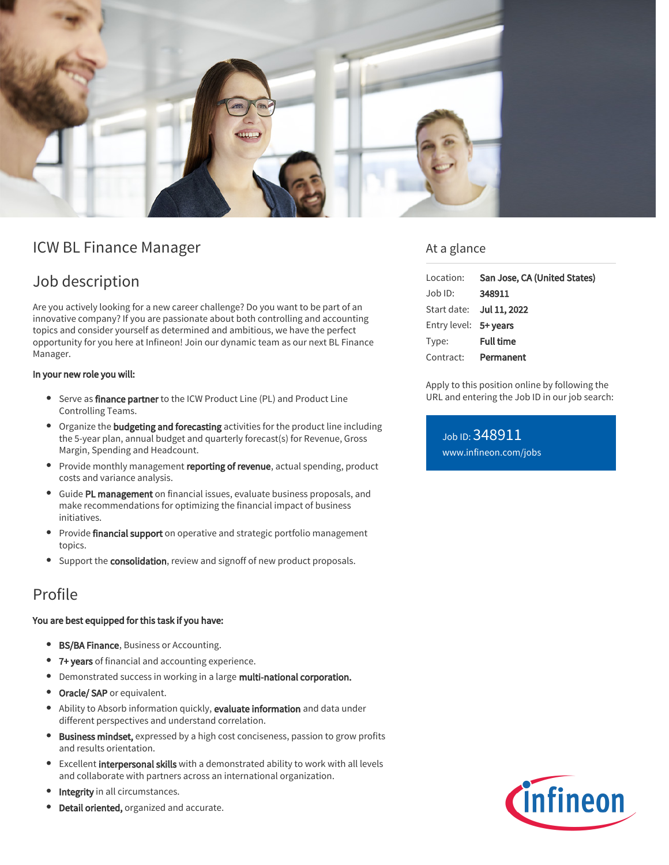

# ICW BL Finance Manager

# Job description

Are you actively looking for a new career challenge? Do you want to be part of an innovative company? If you are passionate about both controlling and accounting topics and consider yourself as determined and ambitious, we have the perfect opportunity for you here at Infineon! Join our dynamic team as our next BL Finance Manager.

#### In your new role you will:

- Serve as finance partner to the ICW Product Line (PL) and Product Line Controlling Teams.
- Organize the **budgeting and forecasting** activities for the product line including the 5-year plan, annual budget and quarterly forecast(s) for Revenue, Gross Margin, Spending and Headcount.
- Provide monthly management reporting of revenue, actual spending, product costs and variance analysis.
- Guide PL management on financial issues, evaluate business proposals, and make recommendations for optimizing the financial impact of business initiatives.
- Provide financial support on operative and strategic portfolio management topics.
- Support the consolidation, review and signoff of new product proposals.

## Profile

### You are best equipped for this task if you have:

- **BS/BA Finance**, Business or Accounting.
- 7+ years of financial and accounting experience.
- Demonstrated success in working in a large multi-national corporation.
- Oracle/ SAP or equivalent.
- Ability to Absorb information quickly, evaluate information and data under different perspectives and understand correlation.
- **Business mindset,** expressed by a high cost conciseness, passion to grow profits and results orientation.
- $\bullet$ Excellent interpersonal skills with a demonstrated ability to work with all levels and collaborate with partners across an international organization.
- Integrity in all circumstances.
- Detail oriented, organized and accurate.

### At a glance

| Location: San Jose, CA (United States) |
|----------------------------------------|
| 348911                                 |
| Start date: Jul 11, 2022               |
| Entry level: 5+ years                  |
| <b>Full time</b>                       |
| Contract: Permanent                    |
|                                        |

Apply to this position online by following the URL and entering the Job ID in our job search:

Job ID: 348911 [www.infineon.com/jobs](https://www.infineon.com/jobs)

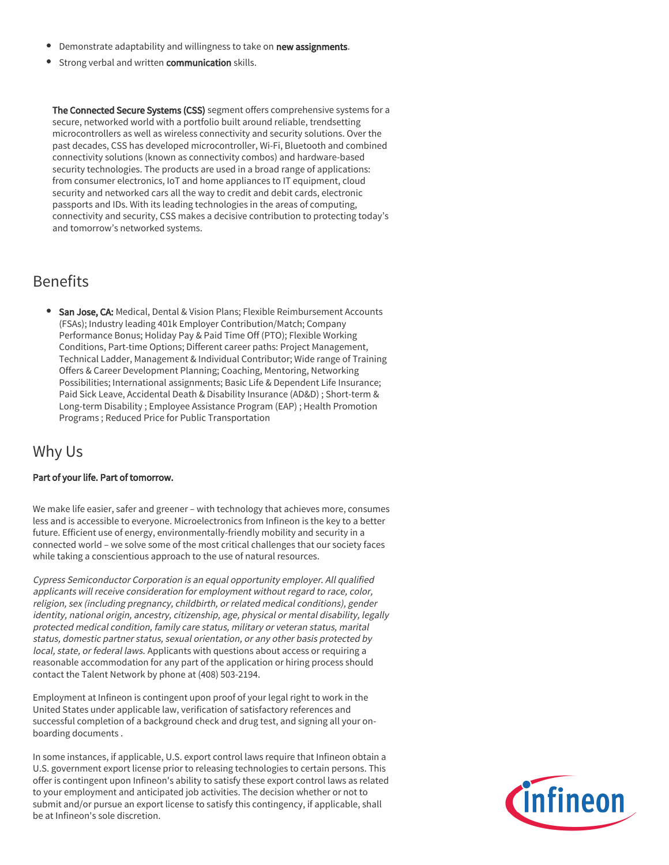- **•** Demonstrate adaptability and willingness to take on new assignments.
- **Strong verbal and written communication** skills.

The Connected Secure Systems (CSS) segment offers comprehensive systems for a secure, networked world with a portfolio built around reliable, trendsetting microcontrollers as well as wireless connectivity and security solutions. Over the past decades, CSS has developed microcontroller, Wi-Fi, Bluetooth and combined connectivity solutions (known as connectivity combos) and hardware-based security technologies. The products are used in a broad range of applications: from consumer electronics, IoT and home appliances to IT equipment, cloud security and networked cars all the way to credit and debit cards, electronic passports and IDs. With its leading technologies in the areas of computing, connectivity and security, CSS makes a decisive contribution to protecting today's and tomorrow's networked systems.

## Benefits

**San Jose, CA:** Medical, Dental & Vision Plans; Flexible Reimbursement Accounts (FSAs); Industry leading 401k Employer Contribution/Match; Company Performance Bonus; Holiday Pay & Paid Time Off (PTO); Flexible Working Conditions, Part-time Options; Different career paths: Project Management, Technical Ladder, Management & Individual Contributor; Wide range of Training Offers & Career Development Planning; Coaching, Mentoring, Networking Possibilities; International assignments; Basic Life & Dependent Life Insurance; Paid Sick Leave, Accidental Death & Disability Insurance (AD&D) ; Short-term & Long-term Disability ; Employee Assistance Program (EAP) ; Health Promotion Programs ; Reduced Price for Public Transportation

## Why Us

### Part of your life. Part of tomorrow.

We make life easier, safer and greener – with technology that achieves more, consumes less and is accessible to everyone. Microelectronics from Infineon is the key to a better future. Efficient use of energy, environmentally-friendly mobility and security in a connected world – we solve some of the most critical challenges that our society faces while taking a conscientious approach to the use of natural resources.

Cypress Semiconductor Corporation is an equal opportunity employer. All qualified applicants will receive consideration for employment without regard to race, color, religion, sex (including pregnancy, childbirth, or related medical conditions), gender identity, national origin, ancestry, citizenship, age, physical or mental disability, legally protected medical condition, family care status, military or veteran status, marital status, domestic partner status, sexual orientation, or any other basis protected by local, state, or federal laws. Applicants with questions about access or requiring a reasonable accommodation for any part of the application or hiring process should contact the Talent Network by phone at (408) 503-2194.

Employment at Infineon is contingent upon proof of your legal right to work in the United States under applicable law, verification of satisfactory references and successful completion of a background check and drug test, and signing all your onboarding documents .

In some instances, if applicable, U.S. export control laws require that Infineon obtain a U.S. government export license prior to releasing technologies to certain persons. This offer is contingent upon Infineon's ability to satisfy these export control laws as related to your employment and anticipated job activities. The decision whether or not to submit and/or pursue an export license to satisfy this contingency, if applicable, shall be at Infineon's sole discretion.